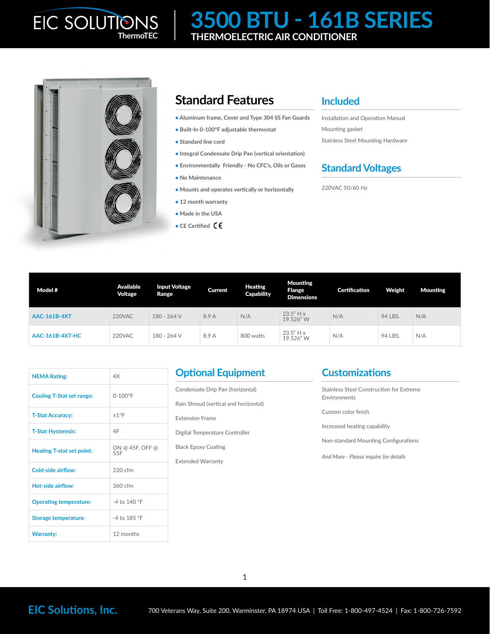# **3500 BTU - 161B SERIES ThermoTEC THERMOELECTRIC AIR CONDITIONER**



## **Standard Features**

- **• Aluminum frame, Cover and Type 304 SS Fan Guards**
- **• Built-In 0-100°F adjustable thermostat**
- **Standard line cord**
- **Integral Condensate Drip Pan (vertical orientation)**
- **• Environmentally Friendly No CFC's, Oils or Gases**
- **• No Maintenance**
- **• Mounts and operates vertically or horizontally**
- **• 12 month warranty**
- **• Made in the USA**
- **• CE Certified**

#### **Included**

Installation and Operation Manual Mounting gasket Stainless Steel Mounting Hardware

### **Standard Voltages**

220VAC 50/60 Hz

| Model #                | Available<br>Voltage | <b>Input Voltage</b><br>Range | <b>Current</b> | Heating<br><b>Capability</b> | <b>Mounting</b><br><b>Flange</b><br><b>Dimensions</b> | <b>Certification</b> | Weight  | <b>Mounting</b> |
|------------------------|----------------------|-------------------------------|----------------|------------------------------|-------------------------------------------------------|----------------------|---------|-----------------|
| <b>AAC-161B-4XT</b>    | 220VAC               | 180 - 264 V                   | 8.9 A          | N/A                          | $23.5"$ H x<br>19.526"W                               | N/A                  | 94 LBS. | N/A             |
| <b>AAC-161B-4XT-HC</b> | 220VAC               | 180 - 264 V                   | 8.9 A          | 800 watts                    | $23.5"$ H x<br>19.526"W                               | N/A                  | 94 LBS. | N/A             |

| <b>NEMA Rating:</b>              | 4X                     |  |  |
|----------------------------------|------------------------|--|--|
| <b>Cooling T-Stat set range:</b> | $0 - 100^{\circ}F$     |  |  |
| <b>T-Stat Accuracy:</b>          | ±1°F                   |  |  |
| <b>T-Stat Hysteresis:</b>        | 4F                     |  |  |
| <b>Heating T-stat set point:</b> | ON @ 45F, OFF @<br>55F |  |  |
| Cold-side airflow:               | $220$ cfm              |  |  |
| Hot-side airflow:                | 360 cfm                |  |  |
| <b>Operating temperature:</b>    | $-4$ to 140 °F         |  |  |
| <b>Storage temperature:</b>      | -4 to 185 °F           |  |  |
| <b>Warranty:</b>                 | 12 months              |  |  |

#### **Optional Equipment**

Condensate Drip Pan (horizontal) Rain Shroud (vertical and horizontal) Extension Frame Digital Temperature Controller Black Epoxy Coating Extended Warranty

#### **Customizations**

Stainless Steel Construction for Extreme Environments Custom color finish Increased heating capability Non-standard Mounting Configurations *And More - Please inquire for details*